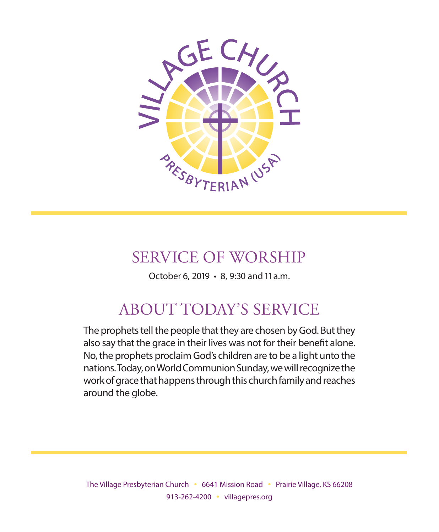

## SERVICE OF WORSHIP

October 6, 2019 • 8, 9:30 and 11 a.m.

## ABOUT TODAY'S SERVICE

The prophets tell the people that they are chosen by God. But they also say that the grace in their lives was not for their benefit alone. No, the prophets proclaim God's children are to be a light unto the nations. Today, on World Communion Sunday, we will recognize the work of grace that happens through this church family and reaches around the globe.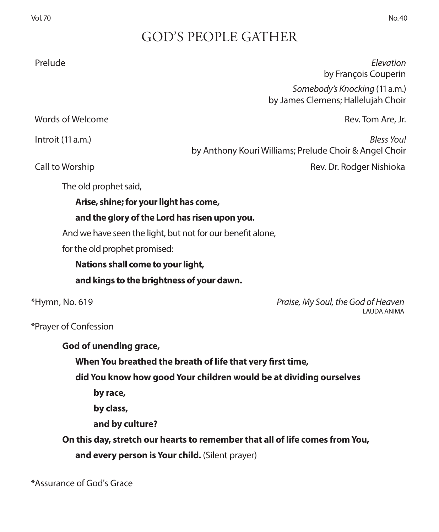## GOD'S PEOPLE GATHER

 Prelude *Elevation* by François Couperin *Somebody's Knocking* (11 a.m.) by James Clemens; Hallelujah Choir

Words of Welcome **Rev. Tom Are, Jr. Rev. Tom Are, Jr. Rev. Tom Are, Jr. Rev. Tom Are, Jr.** 

 Introit (11 a.m.) *Bless You!*  by Anthony Kouri Williams; Prelude Choir & Angel Choir

Call to Worship **Call to Worship** Rev. Dr. Rodger Nishioka

The old prophet said,

**Arise, shine; for your light has come,**

### **and the glory of the Lord has risen upon you.**

And we have seen the light, but not for our benefit alone,

for the old prophet promised:

**Nations shall come to your light,**

**and kings to the brightness of your dawn.**

\*Hymn, No. 619 *Praise, My Soul, the God of Heaven* LAUDA ANIMA

\*Prayer of Confession

| God of unending grace,                                                       |
|------------------------------------------------------------------------------|
| When You breathed the breath of life that very first time,                   |
| did You know how good Your children would be at dividing ourselves           |
| by race,                                                                     |
| by class,                                                                    |
| and by culture?                                                              |
| On this day, stretch our hearts to remember that all of life comes from You, |
| and every person is Your child. (Silent prayer)                              |
|                                                                              |

\*Assurance of God's Grace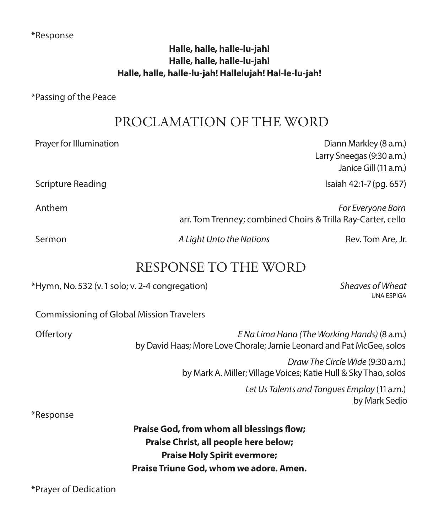### \*Response

### **Halle, halle, halle-lu-jah! Halle, halle, halle-lu-jah! Halle, halle, halle-lu-jah! Hallelujah! Hal-le-lu-jah!**

\*Passing of the Peace

### PROCLAMATION OF THE WORD

Prayer for Illumination **Diannovice Community** Diannovice Diannovice Diannovice Diannovice Diannovice Diannovice Diannovice Diannovice Diannovice Diannovice Diannovice Diannovice Diannovice Diannovice Diannovice Diannovice Larry Sneegas (9:30 a.m.) Janice Gill (11 a.m.) Scripture Reading Isaiah 42:1-7 (pg. 657) Anthem *For Everyone Born*  arr. Tom Trenney; combined Choirs & Trilla Ray-Carter, cello Sermon *A Light Unto the Nations* Rev. Tom Are, Jr. RESPONSE TO THE WORD \*Hymn, No. 532 (v. 1 solo; v. 2-4 congregation) *Sheaves of Wheat* UNA ESPIGA

Commissioning of Global Mission Travelers

 Offertory *E Na Lima Hana (The Working Hands)* (8 a.m.) by David Haas; More Love Chorale; Jamie Leonard and Pat McGee, solos

> *Draw The Circle Wide* (9:30 a.m.) by Mark A. Miller; Village Voices; Katie Hull & Sky Thao, solos

> > *Let Us Talents and Tongues Employ* (11 a.m.) by Mark Sedio

### \*Response

**Praise God, from whom all blessings flow; Praise Christ, all people here below; Praise Holy Spirit evermore; Praise Triune God, whom we adore. Amen.**

\*Prayer of Dedication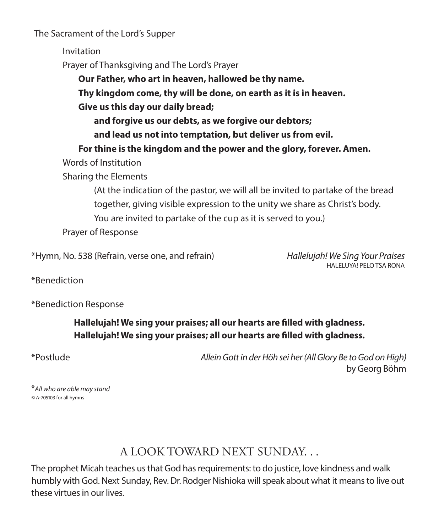The Sacrament of the Lord's Supper

Invitation

Prayer of Thanksgiving and The Lord's Prayer

**Our Father, who art in heaven, hallowed be thy name.**

**Thy kingdom come, thy will be done, on earth as it is in heaven.**

**Give us this day our daily bread;**

**and forgive us our debts, as we forgive our debtors;**

**and lead us not into temptation, but deliver us from evil.**

 **For thine is the kingdom and the power and the glory, forever. Amen.**

Words of Institution

Sharing the Elements

 (At the indication of the pastor, we will all be invited to partake of the bread together, giving visible expression to the unity we share as Christ's body. You are invited to partake of the cup as it is served to you.)

Prayer of Response

\*Hymn, No. 538 (Refrain, verse one, and refrain) *Hallelujah! We Sing Your Praises*

HALELUYA! PELO TSA RONA

\*Benediction

\*Benediction Response

**Hallelujah! We sing your praises; all our hearts are filled with gladness. Hallelujah! We sing your praises; all our hearts are filled with gladness.**

\*Postlude *Allein Gott in der Höh sei her (All Glory Be to God on High)* by Georg Böhm

\**All who are able may stand ©* A-705103 for all hymns

## A LOOK TOWARD NEXT SUNDAY. . .

The prophet Micah teaches us that God has requirements: to do justice, love kindness and walk humbly with God. Next Sunday, Rev. Dr. Rodger Nishioka will speak about what it means to live out these virtues in our lives.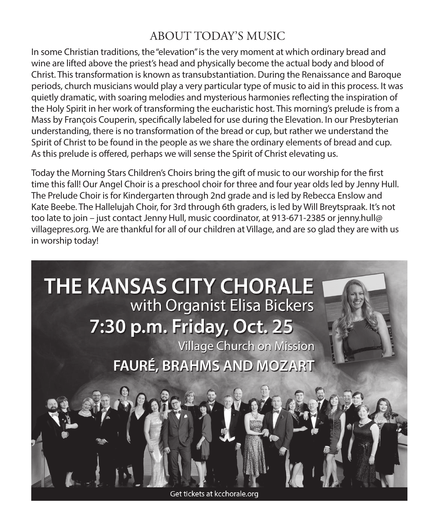### ABOUT TODAY'S MUSIC

In some Christian traditions, the "elevation" is the very moment at which ordinary bread and wine are lifted above the priest's head and physically become the actual body and blood of Christ. This transformation is known as transubstantiation. During the Renaissance and Baroque periods, church musicians would play a very particular type of music to aid in this process. It was quietly dramatic, with soaring melodies and mysterious harmonies reflecting the inspiration of the Holy Spirit in her work of transforming the eucharistic host. This morning's prelude is from a Mass by François Couperin, specifically labeled for use during the Elevation. In our Presbyterian understanding, there is no transformation of the bread or cup, but rather we understand the Spirit of Christ to be found in the people as we share the ordinary elements of bread and cup. As this prelude is offered, perhaps we will sense the Spirit of Christ elevating us.

Today the Morning Stars Children's Choirs bring the gift of music to our worship for the first time this fall! Our Angel Choir is a preschool choir for three and four year olds led by Jenny Hull. The Prelude Choir is for Kindergarten through 2nd grade and is led by Rebecca Enslow and Kate Beebe. The Hallelujah Choir, for 3rd through 6th graders, is led by Will Breytspraak. It's not too late to join – just contact Jenny Hull, music coordinator, at 913-671-2385 or jenny.hull@ villagepres.org. We are thankful for all of our children at Village, and are so glad they are with us in worship today!

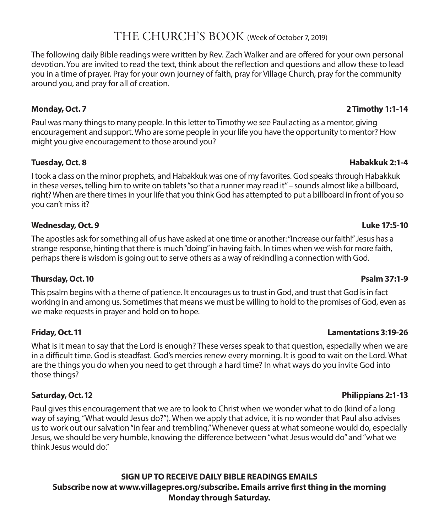### THE CHURCH'S BOOK (Week of October 7, 2019)

The following daily Bible readings were written by Rev. Zach Walker and are offered for your own personal devotion. You are invited to read the text, think about the reflection and questions and allow these to lead you in a time of prayer. Pray for your own journey of faith, pray for Village Church, pray for the community around you, and pray for all of creation.

Paul was many things to many people. In this letter to Timothy we see Paul acting as a mentor, giving encouragement and support. Who are some people in your life you have the opportunity to mentor? How might you give encouragement to those around you?

### **Tuesday, Oct. 8 Habakkuk 2:1-4**

I took a class on the minor prophets, and Habakkuk was one of my favorites. God speaks through Habakkuk in these verses, telling him to write on tablets "so that a runner may read it" – sounds almost like a billboard, right? When are there times in your life that you think God has attempted to put a billboard in front of you so you can't miss it?

### **Wednesday, Oct. 9 Luke 17:5-10**

The apostles ask for something all of us have asked at one time or another: "Increase our faith!" Jesus has a strange response, hinting that there is much "doing" in having faith. In times when we wish for more faith, perhaps there is wisdom is going out to serve others as a way of rekindling a connection with God.

### **Thursday, Oct. 10 Psalm 37:1-9**

This psalm begins with a theme of patience. It encourages us to trust in God, and trust that God is in fact working in and among us. Sometimes that means we must be willing to hold to the promises of God, even as we make requests in prayer and hold on to hope.

What is it mean to say that the Lord is enough? These verses speak to that question, especially when we are in a difficult time. God is steadfast. God's mercies renew every morning. It is good to wait on the Lord. What are the things you do when you need to get through a hard time? In what ways do you invite God into those things?

Paul gives this encouragement that we are to look to Christ when we wonder what to do (kind of a long way of saying, "What would Jesus do?"). When we apply that advice, it is no wonder that Paul also advises us to work out our salvation "in fear and trembling." Whenever guess at what someone would do, especially Jesus, we should be very humble, knowing the difference between "what Jesus would do" and "what we think Jesus would do."

### **SIGN UP TO RECEIVE DAILY BIBLE READINGS EMAILS Subscribe now at www.villagepres.org/subscribe. Emails arrive first thing in the morning Monday through Saturday.**

### **Monday, Oct. 7 2 Timothy 1:1-14**

### **Friday, Oct. 11 Lamentations 3:19-26**

### **Saturday, Oct. 12 Philippians 2:1-13**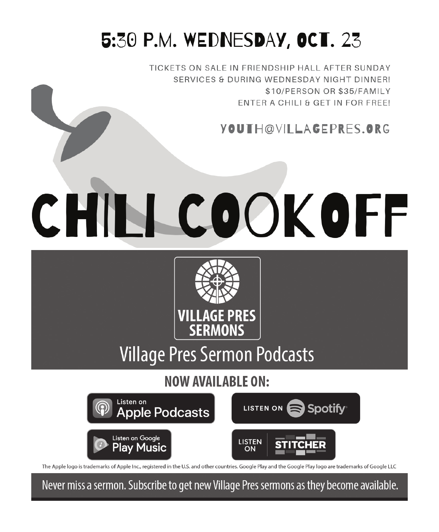# 5:30 P.M. WEDNESDAY, OCT. 23

TICKETS ON SALE IN FRIENDSHIP HALL AFTER SUNDAY SERVICES & DURING WEDNESDAY NIGHT DINNER! \$10/PERSON OR \$35/FAMILY ENTER A CHILI & GET IN FOR FREE!

## YOUTH@VILAGEPRES.ORG

# CHILL COOK OFF



# **Village Pres Sermon Podcasts**

**NOW AVAILABLE ON:** 



The Apple logo is trademarks of Apple Inc., registered in the U.S. and other countries. Google Play and the Google Play logo are trademarks of Google LLC

Never miss a sermon. Subscribe to get new Village Pres sermons as they become available.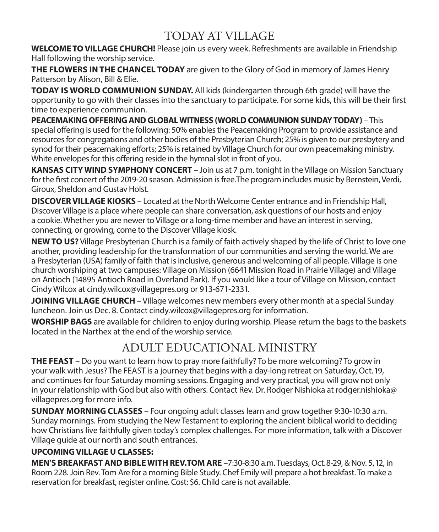### TODAY AT VILLAGE

**WELCOME TO VILLAGE CHURCH!** Please join us every week. Refreshments are available in Friendship Hall following the worship service.

**THE FLOWERS IN THE CHANCEL TODAY** are given to the Glory of God in memory of James Henry Patterson by Alison, Bill & Elie.

**TODAY IS WORLD COMMUNION SUNDAY.** All kids (kindergarten through 6th grade) will have the opportunity to go with their classes into the sanctuary to participate. For some kids, this will be their first time to experience communion.

**PEACEMAKING OFFERING AND GLOBAL WITNESS (WORLD COMMUNION SUNDAY TODAY)** – This special offering is used for the following: 50% enables the Peacemaking Program to provide assistance and resources for congregations and other bodies of the Presbyterian Church; 25% is given to our presbytery and synod for their peacemaking efforts; 25% is retained by Village Church for our own peacemaking ministry. White envelopes for this offering reside in the hymnal slot in front of you.

**KANSAS CITY WIND SYMPHONY CONCERT** – Join us at 7 p.m. tonight in the Village on Mission Sanctuary for the first concert of the 2019-20 season. Admission is free.The program includes music by Bernstein, Verdi, Giroux, Sheldon and Gustav Holst.

**DISCOVER VILLAGE KIOSKS** – Located at the North Welcome Center entrance and in Friendship Hall, Discover Village is a place where people can share conversation, ask questions of our hosts and enjoy a cookie. Whether you are newer to Village or a long-time member and have an interest in serving, connecting, or growing, come to the Discover Village kiosk.

**NEW TO US?** Village Presbyterian Church is a family of faith actively shaped by the life of Christ to love one another, providing leadership for the transformation of our communities and serving the world. We are a Presbyterian (USA) family of faith that is inclusive, generous and welcoming of all people. Village is one church worshiping at two campuses: Village on Mission (6641 Mission Road in Prairie Village) and Village on Antioch (14895 Antioch Road in Overland Park). If you would like a tour of Village on Mission, contact Cindy Wilcox at cindy.wilcox@villagepres.org or 913-671-2331.

**JOINING VILLAGE CHURCH** – Village welcomes new members every other month at a special Sunday luncheon. Join us Dec. 8. Contact cindy.wilcox@villagepres.org for information.

**WORSHIP BAGS** are available for children to enjoy during worship. Please return the bags to the baskets located in the Narthex at the end of the worship service.

### ADULT EDUCATIONAL MINISTRY

**THE FEAST** – Do you want to learn how to pray more faithfully? To be more welcoming? To grow in your walk with Jesus? The FEAST is a journey that begins with a day-long retreat on Saturday, Oct. 19, and continues for four Saturday morning sessions. Engaging and very practical, you will grow not only in your relationship with God but also with others. Contact Rev. Dr. Rodger Nishioka at rodger.nishioka@ villagepres.org for more info.

**SUNDAY MORNING CLASSES** – Four ongoing adult classes learn and grow together 9:30-10:30 a.m. Sunday mornings. From studying the New Testament to exploring the ancient biblical world to deciding how Christians live faithfully given today's complex challenges. For more information, talk with a Discover Village guide at our north and south entrances.

### **UPCOMING VILLAGE U CLASSES:**

**MEN'S BREAKFAST AND BIBLE WITH REV.TOM ARE** –7:30-8:30 a.m. Tuesdays, Oct. 8-29, & Nov. 5, 12, in Room 228. Join Rev. Tom Are for a morning Bible Study. Chef Emily will prepare a hot breakfast. To make a reservation for breakfast, register online. Cost: \$6. Child care is not available.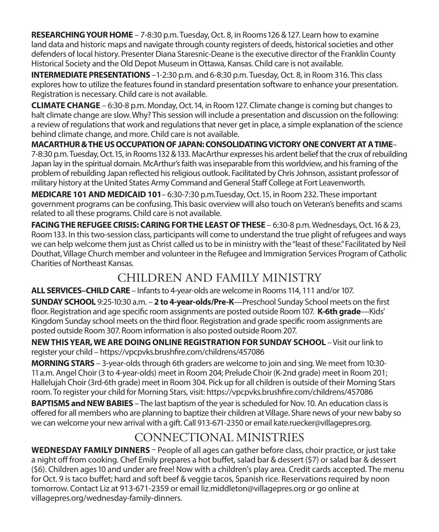**RESEARCHING YOUR HOME** – 7-8:30 p.m. Tuesday, Oct. 8, in Rooms 126 & 127. Learn how to examine land data and historic maps and navigate through county registers of deeds, historical societies and other defenders of local history. Presenter Diana Staresnic-Deane is the executive director of the Franklin County Historical Society and the Old Depot Museum in Ottawa, Kansas. Child care is not available.

**INTERMEDIATE PRESENTATIONS** -1-2:30 p.m. and 6-8:30 p.m. Tuesday, Oct. 8, in Room 316. This class explores how to utilize the features found in standard presentation software to enhance your presentation. Registration is necessary. Child care is not available.

**CLIMATE CHANGE** – 6:30-8 p.m. Monday, Oct. 14, in Room 127. Climate change is coming but changes to halt climate change are slow. Why? This session will include a presentation and discussion on the following: a review of regulations that work and regulations that never get in place, a simple explanation of the science behind climate change, and more. Child care is not available.

**MACARTHUR & THE US OCCUPATION OF JAPAN: CONSOLIDATING VICTORY ONE CONVERT AT A TIME**– 7-8:30 p.m. Tuesday, Oct. 15, in Rooms 132 & 133. MacArthur expresses his ardent belief that the crux of rebuilding Japan lay in the spiritual domain. McArthur's faith was inseparable from this worldview, and his framing of the problem of rebuilding Japan reflected his religious outlook. Facilitated by Chris Johnson, assistant professor of military history at the United States Army Command and General Staff College at Fort Leavenworth.

**MEDICARE 101 AND MEDICAID 101**– 6:30-7:30 p.m.Tuesday, Oct. 15, in Room 232. These important government programs can be confusing. This basic overview will also touch on Veteran's benefits and scams related to all these programs. Child care is not available.

FACING THE REFUGEE CRISIS: CARING FOR THE LEAST OF THESE - 6:30-8 p.m. Wednesdays, Oct. 16 & 23, Room 133. In this two-session class, participants will come to understand the true plight of refugees and ways we can help welcome them just as Christ called us to be in ministry with the "least of these." Facilitated by Neil Douthat, Village Church member and volunteer in the Refugee and Immigration Services Program of Catholic Charities of Northeast Kansas.

## CHILDREN AND FAMILY MINISTRY

**ALL SERVICES–CHILD CARE** – Infants to 4-year-olds are welcome in Rooms 114, 111 and/or 107.

**SUNDAY SCHOOL** 9:25-10:30 a.m. – **2 to 4-year-olds/Pre-K**—Preschool Sunday School meets on the first floor. Registration and age specific room assignments are posted outside Room 107. **K-6th grade**—Kids' Kingdom Sunday school meets on the third floor. Registration and grade specific room assignments are posted outside Room 307. Room information is also posted outside Room 207.

**NEW THIS YEAR, WE ARE DOING ONLINE REGISTRATION FOR SUNDAY SCHOOL** – Visit our link to register your child – https://vpcpvks.brushfire.com/childrens/457086

**MORNING STARS** – 3-year-olds through 6th graders are welcome to join and sing. We meet from 10:30- 11 a.m. Angel Choir (3 to 4-year-olds) meet in Room 204; Prelude Choir (K-2nd grade) meet in Room 201; Hallelujah Choir (3rd-6th grade) meet in Room 304. Pick up for all children is outside of their Morning Stars room. To register your child for Morning Stars, visit: https://vpcpvks.brushfire.com/childrens/457086

**BAPTISMS and NEW BABIES** – The last baptism of the year is scheduled for Nov. 10. An education class is offered for all members who are planning to baptize their children at Village. Share news of your new baby so we can welcome your new arrival with a gift. Call 913-671-2350 or email kate.ruecker@villagepres.org.

### CONNECTIONAL MINISTRIES

**WEDNESDAY FAMILY DINNERS** – People of all ages can gather before class, choir practice, or just take a night off from cooking. Chef Emily prepares a hot buffet, salad bar & dessert (\$7) or salad bar & dessert (\$6). Children ages 10 and under are free! Now with a children's play area. Credit cards accepted. The menu for Oct. 9 is taco buffet; hard and soft beef & veggie tacos, Spanish rice. Reservations required by noon tomorrow. Contact Liz at 913-671-2359 or email liz.middleton@villagepres.org or go online at villagepres.org/wednesday-family-dinners.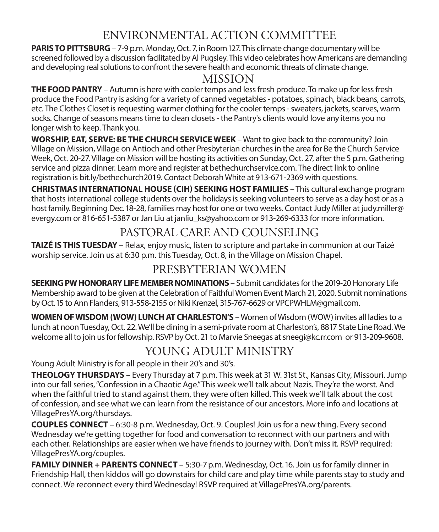### ENVIRONMENTAL ACTION COMMITTEE

**PARIS TO PITTSBURG** – 7-9 p.m. Monday, Oct. 7, in Room 127. This climate change documentary will be screened followed by a discussion facilitated by Al Pugsley. This video celebrates how Americans are demanding and developing real solutions to confront the severe health and economic threats of climate change.

### MISSION

**THE FOOD PANTRY** – Autumn is here with cooler temps and less fresh produce. To make up for less fresh produce the Food Pantry is asking for a variety of canned vegetables - potatoes, spinach, black beans, carrots, etc. The Clothes Closet is requesting warmer clothing for the cooler temps - sweaters, jackets, scarves, warm socks. Change of seasons means time to clean closets - the Pantry's clients would love any items you no longer wish to keep. Thank you.

**WORSHIP, EAT, SERVE: BE THE CHURCH SERVICE WEEK** – Want to give back to the community? Join Village on Mission, Village on Antioch and other Presbyterian churches in the area for Be the Church Service Week, Oct. 20-27. Village on Mission will be hosting its activities on Sunday, Oct. 27, after the 5 p.m. Gathering service and pizza dinner. Learn more and register at bethechurchservice.com. The direct link to online registration is bit.ly/bethechurch2019. Contact Deborah White at 913-671-2369 with questions.

**CHRISTMAS INTERNATIONAL HOUSE (CIH) SEEKING HOST FAMILIES** – This cultural exchange program that hosts international college students over the holidays is seeking volunteers to serve as a day host or as a host family. Beginning Dec. 18-28, families may host for one or two weeks. Contact Judy Miller at judy.miller@ evergy.com or 816-651-5387 or Jan Liu at janliu ks@yahoo.com or 913-269-6333 for more information.

### PASTORAL CARE AND COUNSELING

**TAIZÉ IS THIS TUESDAY** – Relax, enjoy music, listen to scripture and partake in communion at our Taizé worship service. Join us at 6:30 p.m. this Tuesday, Oct. 8, in the Village on Mission Chapel.

### PRESBYTERIAN WOMEN

**SEEKING PW HONORARY LIFE MEMBER NOMINATIONS** – Submit candidates for the 2019-20 Honorary Life Membership award to be given at the Celebration of Faithful Women Event March 21, 2020. Submit nominations by Oct. 15 to Ann Flanders, 913-558-2155 or Niki Krenzel, 315-767-6629 or VPCPWHLM@gmail.com.

**WOMEN OF WISDOM (WOW) LUNCH AT CHARLESTON'S** – Women of Wisdom (WOW) invites all ladies to a lunch at noon Tuesday, Oct. 22. We'll be dining in a semi-private room at Charleston's, 8817 State Line Road. We welcome all to join us for fellowship. RSVP by Oct. 21 to Marvie Sneegas at sneegi@kc.rr.com or 913-209-9608.

## YOUNG ADULT MINISTRY

Young Adult Ministry is for all people in their 20's and 30's.

**THEOLOGY THURSDAYS** – Every Thursday at 7 p.m. This week at 31 W. 31st St., Kansas City, Missouri. Jump into our fall series, "Confession in a Chaotic Age." This week we'll talk about Nazis. They're the worst. And when the faithful tried to stand against them, they were often killed. This week we'll talk about the cost of confession, and see what we can learn from the resistance of our ancestors. More info and locations at VillagePresYA.org/thursdays.

**COUPLES CONNECT** – 6:30-8 p.m. Wednesday, Oct. 9. Couples! Join us for a new thing. Every second Wednesday we're getting together for food and conversation to reconnect with our partners and with each other. Relationships are easier when we have friends to journey with. Don't miss it. RSVP required: VillagePresYA.org/couples.

**FAMILY DINNER + PARENTS CONNECT** – 5:30-7 p.m. Wednesday, Oct. 16. Join us for family dinner in Friendship Hall, then kiddos will go downstairs for child care and play time while parents stay to study and connect. We reconnect every third Wednesday! RSVP required at VillagePresYA.org/parents.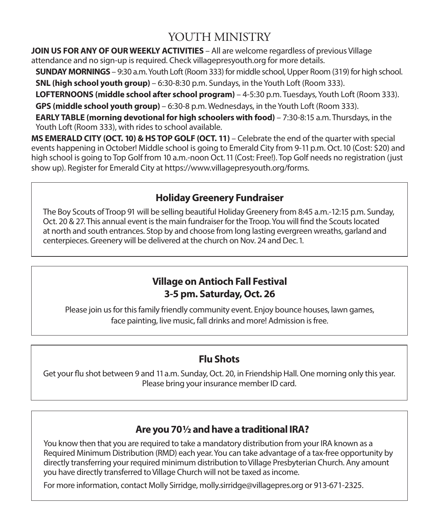### YOUTH MINISTRY

**JOIN US FOR ANY OF OUR WEEKLY ACTIVITIES** – All are welcome regardless of previous Village attendance and no sign-up is required. Check villagepresyouth.org for more details.

**SUNDAY MORNINGS** – 9:30 a.m. Youth Loft (Room 333) for middle school, Upper Room (319) for high school.

**SNL (high school youth group)** – 6:30-8:30 p.m. Sundays, in the Youth Loft (Room 333).

**LOFTERNOONS (middle school after school program)** – 4-5:30 p.m. Tuesdays, Youth Loft (Room 333). **GPS (middle school youth group)** – 6:30-8 p.m. Wednesdays, in the Youth Loft (Room 333).

**EARLY TABLE (morning devotional for high schoolers with food)** – 7:30-8:15 a.m. Thursdays, in the Youth Loft (Room 333), with rides to school available.

**MS EMERALD CITY (OCT. 10) & HS TOP GOLF (OCT. 11)** – Celebrate the end of the quarter with special events happening in October! Middle school is going to Emerald City from 9-11 p.m. Oct. 10 (Cost: \$20) and high school is going to Top Golf from 10 a.m.-noon Oct. 11 (Cost: Free!). Top Golf needs no registration (just show up). Register for Emerald City at https://www.villagepresyouth.org/forms.

### **Holiday Greenery Fundraiser**

The Boy Scouts of Troop 91 will be selling beautiful Holiday Greenery from 8:45 a.m.-12:15 p.m. Sunday, Oct. 20 & 27. This annual event is the main fundraiser for the Troop. You will find the Scouts located at north and south entrances. Stop by and choose from long lasting evergreen wreaths, garland and centerpieces. Greenery will be delivered at the church on Nov. 24 and Dec. 1.

### **Village on Antioch Fall Festival 3-5 pm. Saturday, Oct. 26**

Please join us for this family friendly community event. Enjoy bounce houses, lawn games, face painting, live music, fall drinks and more! Admission is free.

### **Flu Shots**

Get your flu shot between 9 and 11 a.m. Sunday, Oct. 20, in Friendship Hall. One morning only this year. Please bring your insurance member ID card.

### **Are you 70 ½ and have a traditional IRA?**

You know then that you are required to take a mandatory distribution from your IRA known as a Required Minimum Distribution (RMD) each year. You can take advantage of a tax-free opportunity by directly transferring your required minimum distribution to Village Presbyterian Church. Any amount you have directly transferred to Village Church will not be taxed as income.

For more information, contact Molly Sirridge, molly.sirridge@villagepres.org or 913-671-2325.